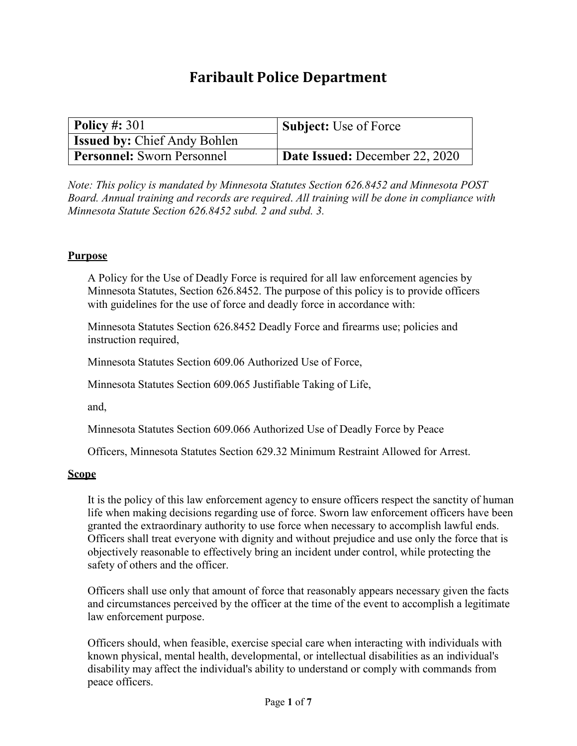# **Faribault Police Department**

| $\vert$ Policy #: 301               | <b>Subject:</b> Use of Force   |
|-------------------------------------|--------------------------------|
| <b>Issued by: Chief Andy Bohlen</b> |                                |
| <b>Personnel:</b> Sworn Personnel   | Date Issued: December 22, 2020 |

*Note: This policy is mandated by Minnesota Statutes Section 626.8452 and Minnesota POST Board. Annual training and records are required*. *All training will be done in compliance with Minnesota Statute Section 626.8452 subd. 2 and subd. 3.*

## **Purpose**

A Policy for the Use of Deadly Force is required for all law enforcement agencies by Minnesota Statutes, Section 626.8452. The purpose of this policy is to provide officers with guidelines for the use of force and deadly force in accordance with:

Minnesota Statutes Section 626.8452 Deadly Force and firearms use; policies and instruction required,

Minnesota Statutes Section 609.06 Authorized Use of Force,

Minnesota Statutes Section 609.065 Justifiable Taking of Life,

and,

Minnesota Statutes Section 609.066 Authorized Use of Deadly Force by Peace

Officers, Minnesota Statutes Section 629.32 Minimum Restraint Allowed for Arrest.

#### **Scope**

It is the policy of this law enforcement agency to ensure officers respect the sanctity of human life when making decisions regarding use of force. Sworn law enforcement officers have been granted the extraordinary authority to use force when necessary to accomplish lawful ends. Officers shall treat everyone with dignity and without prejudice and use only the force that is objectively reasonable to effectively bring an incident under control, while protecting the safety of others and the officer.

Officers shall use only that amount of force that reasonably appears necessary given the facts and circumstances perceived by the officer at the time of the event to accomplish a legitimate law enforcement purpose.

Officers should, when feasible, exercise special care when interacting with individuals with known physical, mental health, developmental, or intellectual disabilities as an individual's disability may affect the individual's ability to understand or comply with commands from peace officers.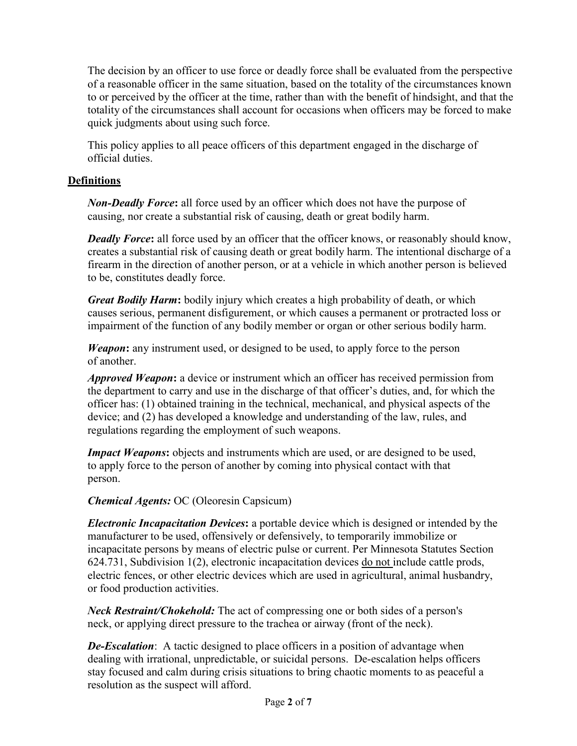The decision by an officer to use force or deadly force shall be evaluated from the perspective of a reasonable officer in the same situation, based on the totality of the circumstances known to or perceived by the officer at the time, rather than with the benefit of hindsight, and that the totality of the circumstances shall account for occasions when officers may be forced to make quick judgments about using such force.

This policy applies to all peace officers of this department engaged in the discharge of official duties.

# **Definitions**

*Non-Deadly Force***:** all force used by an officer which does not have the purpose of causing, nor create a substantial risk of causing, death or great bodily harm.

*Deadly Force*: all force used by an officer that the officer knows, or reasonably should know, creates a substantial risk of causing death or great bodily harm. The intentional discharge of a firearm in the direction of another person, or at a vehicle in which another person is believed to be, constitutes deadly force.

*Great Bodily Harm***:** bodily injury which creates a high probability of death, or which causes serious, permanent disfigurement, or which causes a permanent or protracted loss or impairment of the function of any bodily member or organ or other serious bodily harm.

*Weapon***:** any instrument used, or designed to be used, to apply force to the person of another.

*Approved Weapon***:** a device or instrument which an officer has received permission from the department to carry and use in the discharge of that officer's duties, and, for which the officer has: (1) obtained training in the technical, mechanical, and physical aspects of the device; and (2) has developed a knowledge and understanding of the law, rules, and regulations regarding the employment of such weapons.

*Impact Weapons*: objects and instruments which are used, or are designed to be used, to apply force to the person of another by coming into physical contact with that person.

*Chemical Agents:* OC (Oleoresin Capsicum)

*Electronic Incapacitation Devices***:** a portable device which is designed or intended by the manufacturer to be used, offensively or defensively, to temporarily immobilize or incapacitate persons by means of electric pulse or current. Per Minnesota Statutes Section 624.731, Subdivision 1(2), electronic incapacitation devices do not include cattle prods, electric fences, or other electric devices which are used in agricultural, animal husbandry, or food production activities.

*Neck Restraint/Chokehold:* The act of compressing one or both sides of a person's neck, or applying direct pressure to the trachea or airway (front of the neck).

*De-Escalation*: A tactic designed to place officers in a position of advantage when dealing with irrational, unpredictable, or suicidal persons. De-escalation helps officers stay focused and calm during crisis situations to bring chaotic moments to as peaceful a resolution as the suspect will afford.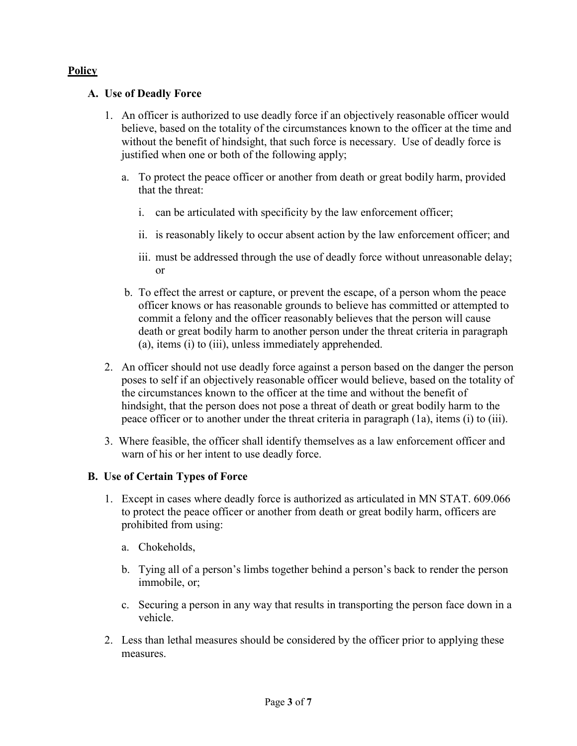# **Policy**

## **A. Use of Deadly Force**

- 1. An officer is authorized to use deadly force if an objectively reasonable officer would believe, based on the totality of the circumstances known to the officer at the time and without the benefit of hindsight, that such force is necessary. Use of deadly force is justified when one or both of the following apply;
	- a. To protect the peace officer or another from death or great bodily harm, provided that the threat:
		- i. can be articulated with specificity by the law enforcement officer;
		- ii. is reasonably likely to occur absent action by the law enforcement officer; and
		- iii. must be addressed through the use of deadly force without unreasonable delay; or
	- b. To effect the arrest or capture, or prevent the escape, of a person whom the peace officer knows or has reasonable grounds to believe has committed or attempted to commit a felony and the officer reasonably believes that the person will cause death or great bodily harm to another person under the threat criteria in paragraph (a), items (i) to (iii), unless immediately apprehended.
- 2. An officer should not use deadly force against a person based on the danger the person poses to self if an objectively reasonable officer would believe, based on the totality of the circumstances known to the officer at the time and without the benefit of hindsight, that the person does not pose a threat of death or great bodily harm to the peace officer or to another under the threat criteria in paragraph (1a), items (i) to (iii).
- 3. Where feasible, the officer shall identify themselves as a law enforcement officer and warn of his or her intent to use deadly force.

## **B. Use of Certain Types of Force**

- 1. Except in cases where deadly force is authorized as articulated in MN STAT. 609.066 to protect the peace officer or another from death or great bodily harm, officers are prohibited from using:
	- a. Chokeholds,
	- b. Tying all of a person's limbs together behind a person's back to render the person immobile, or;
	- c. Securing a person in any way that results in transporting the person face down in a vehicle.
- 2. Less than lethal measures should be considered by the officer prior to applying these measures.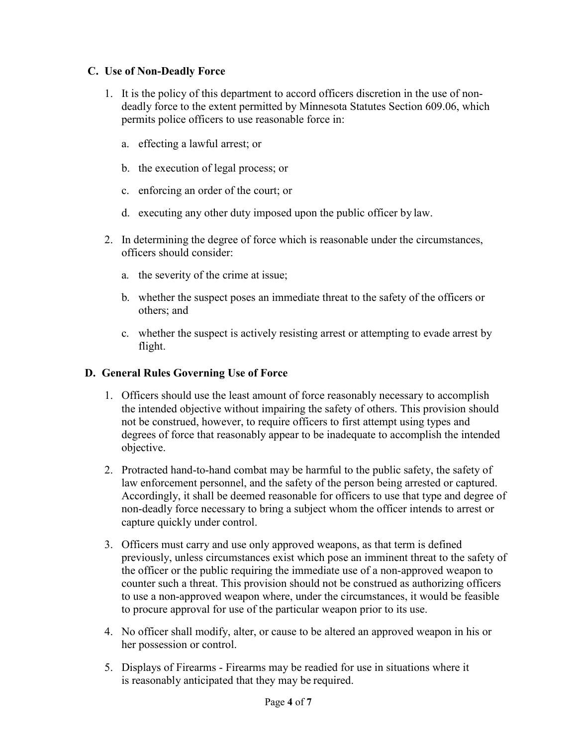# **C. Use of Non-Deadly Force**

- 1. It is the policy of this department to accord officers discretion in the use of nondeadly force to the extent permitted by Minnesota Statutes Section 609.06, which permits police officers to use reasonable force in:
	- a. effecting a lawful arrest; or
	- b. the execution of legal process; or
	- c. enforcing an order of the court; or
	- d. executing any other duty imposed upon the public officer by law.
- 2. In determining the degree of force which is reasonable under the circumstances, officers should consider:
	- a. the severity of the crime at issue;
	- b. whether the suspect poses an immediate threat to the safety of the officers or others; and
	- c. whether the suspect is actively resisting arrest or attempting to evade arrest by flight.

# **D. General Rules Governing Use of Force**

- 1. Officers should use the least amount of force reasonably necessary to accomplish the intended objective without impairing the safety of others. This provision should not be construed, however, to require officers to first attempt using types and degrees of force that reasonably appear to be inadequate to accomplish the intended objective.
- 2. Protracted hand-to-hand combat may be harmful to the public safety, the safety of law enforcement personnel, and the safety of the person being arrested or captured. Accordingly, it shall be deemed reasonable for officers to use that type and degree of non-deadly force necessary to bring a subject whom the officer intends to arrest or capture quickly under control.
- 3. Officers must carry and use only approved weapons, as that term is defined previously, unless circumstances exist which pose an imminent threat to the safety of the officer or the public requiring the immediate use of a non-approved weapon to counter such a threat. This provision should not be construed as authorizing officers to use a non-approved weapon where, under the circumstances, it would be feasible to procure approval for use of the particular weapon prior to its use.
- 4. No officer shall modify, alter, or cause to be altered an approved weapon in his or her possession or control.
- 5. Displays of Firearms Firearms may be readied for use in situations where it is reasonably anticipated that they may be required.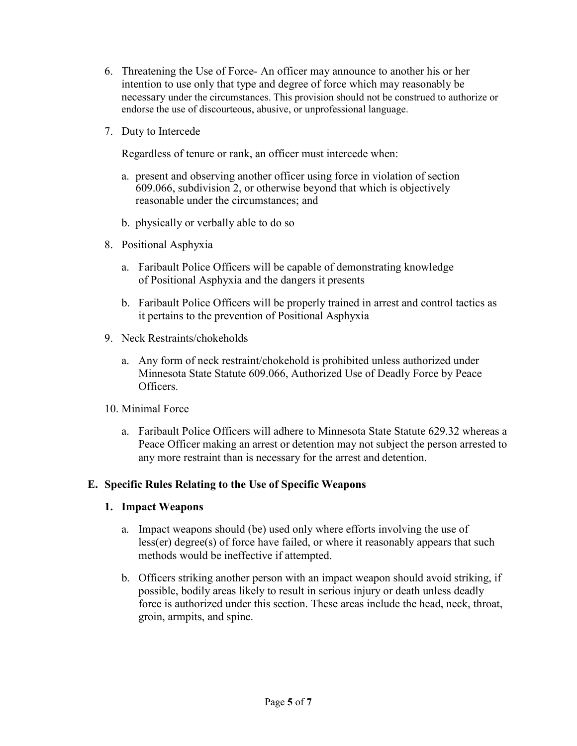- 6. Threatening the Use of Force- An officer may announce to another his or her intention to use only that type and degree of force which may reasonably be necessary under the circumstances. This provision should not be construed to authorize or endorse the use of discourteous, abusive, or unprofessional language.
- 7. Duty to Intercede

Regardless of tenure or rank, an officer must intercede when:

- a. present and observing another officer using force in violation of section 609.066, subdivision 2, or otherwise beyond that which is objectively reasonable under the circumstances; and
- b. physically or verbally able to do so
- 8. Positional Asphyxia
	- a. Faribault Police Officers will be capable of demonstrating knowledge of Positional Asphyxia and the dangers it presents
	- b. Faribault Police Officers will be properly trained in arrest and control tactics as it pertains to the prevention of Positional Asphyxia
- 9. Neck Restraints/chokeholds
	- a. Any form of neck restraint/chokehold is prohibited unless authorized under Minnesota State Statute 609.066, Authorized Use of Deadly Force by Peace Officers.
- 10. Minimal Force
	- a. Faribault Police Officers will adhere to Minnesota State Statute 629.32 whereas a Peace Officer making an arrest or detention may not subject the person arrested to any more restraint than is necessary for the arrest and detention.

## **E. Specific Rules Relating to the Use of Specific Weapons**

- **1. Impact Weapons**
	- a. Impact weapons should (be) used only where efforts involving the use of less(er) degree(s) of force have failed, or where it reasonably appears that such methods would be ineffective if attempted.
	- b. Officers striking another person with an impact weapon should avoid striking, if possible, bodily areas likely to result in serious injury or death unless deadly force is authorized under this section. These areas include the head, neck, throat, groin, armpits, and spine.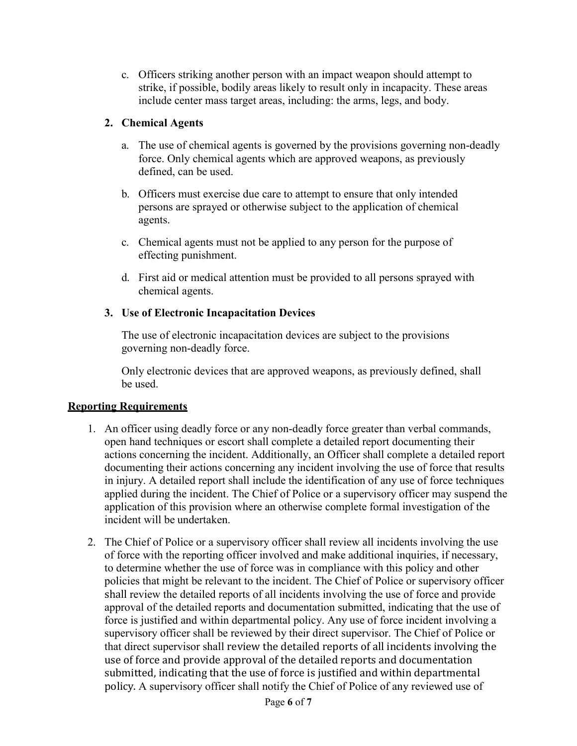c. Officers striking another person with an impact weapon should attempt to strike, if possible, bodily areas likely to result only in incapacity. These areas include center mass target areas, including: the arms, legs, and body.

# **2. Chemical Agents**

- a. The use of chemical agents is governed by the provisions governing non-deadly force. Only chemical agents which are approved weapons, as previously defined, can be used.
- b. Officers must exercise due care to attempt to ensure that only intended persons are sprayed or otherwise subject to the application of chemical agents.
- c. Chemical agents must not be applied to any person for the purpose of effecting punishment.
- d. First aid or medical attention must be provided to all persons sprayed with chemical agents.

# **3. Use of Electronic Incapacitation Devices**

The use of electronic incapacitation devices are subject to the provisions governing non-deadly force.

Only electronic devices that are approved weapons, as previously defined, shall be used.

## **Reporting Requirements**

- 1. An officer using deadly force or any non-deadly force greater than verbal commands, open hand techniques or escort shall complete a detailed report documenting their actions concerning the incident. Additionally, an Officer shall complete a detailed report documenting their actions concerning any incident involving the use of force that results in injury. A detailed report shall include the identification of any use of force techniques applied during the incident. The Chief of Police or a supervisory officer may suspend the application of this provision where an otherwise complete formal investigation of the incident will be undertaken.
- 2. The Chief of Police or a supervisory officer shall review all incidents involving the use of force with the reporting officer involved and make additional inquiries, if necessary, to determine whether the use of force was in compliance with this policy and other policies that might be relevant to the incident. The Chief of Police or supervisory officer shall review the detailed reports of all incidents involving the use of force and provide approval of the detailed reports and documentation submitted, indicating that the use of force is justified and within departmental policy. Any use of force incident involving a supervisory officer shall be reviewed by their direct supervisor. The Chief of Police or that direct supervisor shall review the detailed reports of all incidents involving the use of force and provide approval of the detailed reports and documentation submitted, indicating that the use of force is justified and within departmental policy. A supervisory officer shall notify the Chief of Police of any reviewed use of